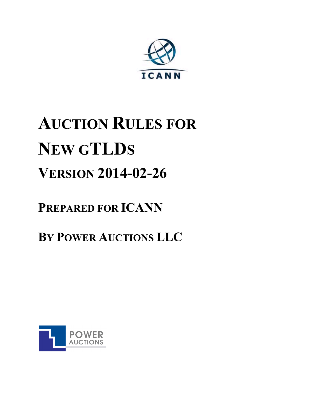

# **AUCTION RULES FOR NEW GTLDS VERSION 2014-02-26**

### **PREPARED FOR ICANN**

## **BY POWER AUCTIONS LLC**

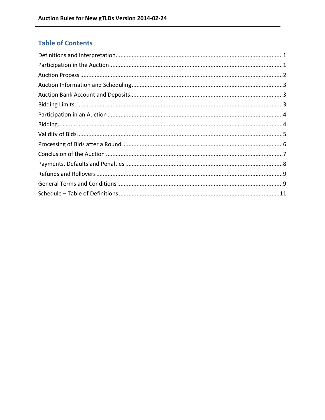### **Table of Contents**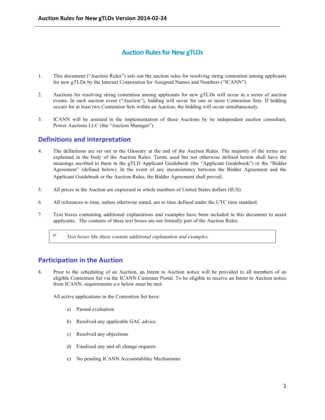#### **Auction Rules for New gTLDs**

- 1. This document ("Auction Rules") sets out the auction rules for resolving string contention among applicants for new gTLDs by the Internet Corporation for Assigned Names and Numbers ("ICANN").
- 2. Auctions for resolving string contention among applicants for new gTLDs will occur in a series of auction events. In each auction event ("Auction"), bidding will occur for one or more Contention Sets. If bidding occurs for at least two Contention Sets within an Auction, the bidding will occur simultaneously.
- 3. ICANN will be assisted in the implementation of these Auctions by its independent auction consultant, Power Auctions LLC (the "Auction Manager").

#### **Definitions and Interpretation**

- 4. The definitions are set out in the Glossary at the end of the Auction Rules. The majority of the terms are explained in the body of the Auction Rules. Terms used but not otherwise defined herein shall have the meanings ascribed to them in the gTLD Applicant Guidebook (the "Applicant Guidebook") or the "Bidder Agreement" (defined below). In the event of any inconsistency between the Bidder Agreement and the Applicant Guidebook or the Auction Rules, the Bidder Agreement shall prevail.
- 5. All prices in the Auction are expressed in whole numbers of United States dollars (\$US).
- 6. All references to time, unless otherwise stated, are to time defined under the UTC time standard.
- 7. Text boxes containing additional explanations and examples have been included in this document to assist applicants. The contents of these text boxes are not formally part of the Auction Rules.

? *Text boxes like these contain additional explanation and examples.*

#### **Participation in the Auction**

8. Prior to the scheduling of an Auction, an Intent to Auction notice will be provided to all members of an eligible Contention Set via the ICANN Customer Portal. To be eligible to receive an Intent to Auction notice from ICANN, requirements a-e below must be met:

All active applications in the Contention Set have:

- a) Passed evaluation
- b) Resolved any applicable GAC advice
- c) Resolved any objections
- d) Finalized any and all change requests
- e) No pending ICANN Accountability Mechanisms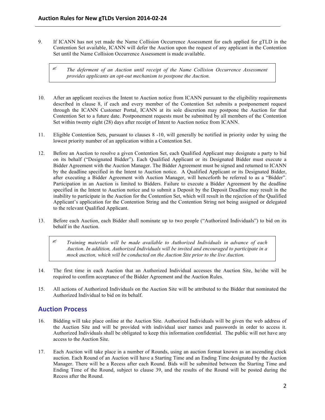9. If ICANN has not yet made the Name Collision Occurrence Assessment for each applied for gTLD in the Contention Set available, ICANN will defer the Auction upon the request of any applicant in the Contention Set until the Name Collision Occurrence Assessment is made available.

? *The deferment of an Auction until receipt of the Name Collision Occurrence Assessment provides applicants an opt-out mechanism to postpone the Auction.* 

- 10. After an applicant receives the Intent to Auction notice from ICANN pursuant to the eligibility requirements described in clause 8, if each and every member of the Contention Set submits a postponement request through the ICANN Customer Portal, ICANN at its sole discretion may postpone the Auction for that Contention Set to a future date. Postponement requests must be submitted by all members of the Contention Set within twenty eight (28) days after receipt of Intent to Auction notice from ICANN.
- 11. Eligible Contention Sets, pursuant to clauses 8 -10, will generally be notified in priority order by using the lowest priority number of an application within a Contention Set.
- 12. Before an Auction to resolve a given Contention Set, each Qualified Applicant may designate a party to bid on its behalf ("Designated Bidder"). Each Qualified Applicant or its Designated Bidder must execute a Bidder Agreement with the Auction Manager. The Bidder Agreement must be signed and returned to ICANN by the deadline specified in the Intent to Auction notice. A Qualified Applicant or its Designated Bidder, after executing a Bidder Agreement with Auction Manager, will henceforth be referred to as a "Bidder". Participation in an Auction is limited to Bidders. Failure to execute a Bidder Agreement by the deadline specified in the Intent to Auction notice and to submit a Deposit by the Deposit Deadline may result in the inability to participate in the Auction for the Contention Set, which will result in the rejection of the Qualified Applicant's application for the Contention String and the Contention String not being assigned or delegated to the relevant Qualified Applicant.
- 13. Before each Auction, each Bidder shall nominate up to two people ("Authorized Individuals") to bid on its behalf in the Auction.

? *Training materials will be made available to Authorized Individuals in advance of each Auction. In addition, Authorized Individuals will be invited and encouraged to participate in a mock auction, which will be conducted on the Auction Site prior to the live Auction.*

- 14. The first time in each Auction that an Authorized Individual accesses the Auction Site, he/she will be required to confirm acceptance of the Bidder Agreement and the Auction Rules.
- 15. All actions of Authorized Individuals on the Auction Site will be attributed to the Bidder that nominated the Authorized Individual to bid on its behalf.

#### **Auction Process**

- 16. Bidding will take place online at the Auction Site. Authorized Individuals will be given the web address of the Auction Site and will be provided with individual user names and passwords in order to access it. Authorized Individuals shall be obligated to keep this information confidential. The public will not have any access to the Auction Site.
- 17. Each Auction will take place in a number of Rounds, using an auction format known as an ascending clock auction. Each Round of an Auction will have a Starting Time and an Ending Time designated by the Auction Manager. There will be a Recess after each Round. Bids will be submitted between the Starting Time and Ending Time of the Round, subject to clause 39, and the results of the Round will be posted during the Recess after the Round.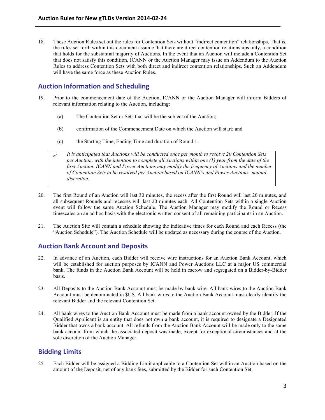18. These Auction Rules set out the rules for Contention Sets without "indirect contention" relationships. That is, the rules set forth within this document assume that there are direct contention relationships only, a condition that holds for the substantial majority of Auctions. In the event that an Auction will include a Contention Set that does not satisfy this condition, ICANN or the Auction Manager may issue an Addendum to the Auction Rules to address Contention Sets with both direct and indirect contention relationships. Such an Addendum will have the same force as these Auction Rules.

#### **Auction Information and Scheduling**

- 19. Prior to the commencement date of the Auction, ICANN or the Auction Manager will inform Bidders of relevant information relating to the Auction, including:
	- (a) The Contention Set or Sets that will be the subject of the Auction;
	- (b) confirmation of the Commencement Date on which the Auction will start; and
	- (c) the Starting Time, Ending Time and duration of Round 1.

? *It is anticipated that Auctions will be conducted once per month to resolve 20 Contention Sets per Auction, with the intention to complete all Auctions within one (1) year from the date of the first Auction. ICANN and Power Auctions may modify the frequency of Auctions and the number of Contention Sets to be resolved per Auction based on ICANN's and Power Auctions' mutual discretion.*

- 20. The first Round of an Auction will last 30 minutes, the recess after the first Round will last 20 minutes, and all subsequent Rounds and recesses will last 20 minutes each. All Contention Sets within a single Auction event will follow the same Auction Schedule. The Auction Manager may modify the Round or Recess timescales on an ad hoc basis with the electronic written consent of all remaining participants in an Auction.
- 21. The Auction Site will contain a schedule showing the indicative times for each Round and each Recess (the "Auction Schedule"). The Auction Schedule will be updated as necessary during the course of the Auction.

#### **Auction Bank Account and Deposits**

- 22. In advance of an Auction, each Bidder will receive wire instructions for an Auction Bank Account, which will be established for auction purposes by ICANN and Power Auctions LLC at a major US commercial bank. The funds in the Auction Bank Account will be held in escrow and segregated on a Bidder-by-Bidder basis.
- 23. All Deposits to the Auction Bank Account must be made by bank wire. All bank wires to the Auction Bank Account must be denominated in \$US. All bank wires to the Auction Bank Account must clearly identify the relevant Bidder and the relevant Contention Set.
- 24. All bank wires to the Auction Bank Account must be made from a bank account owned by the Bidder. If the Qualified Applicant is an entity that does not own a bank account, it is required to designate a Designated Bidder that owns a bank account. All refunds from the Auction Bank Account will be made only to the same bank account from which the associated deposit was made, except for exceptional circumstances and at the sole discretion of the Auction Manager.

#### **Bidding Limits**

25. Each Bidder will be assigned a Bidding Limit applicable to a Contention Set within an Auction based on the amount of the Deposit, net of any bank fees, submitted by the Bidder for such Contention Set.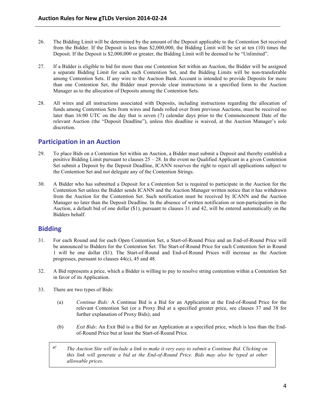- 26. The Bidding Limit will be determined by the amount of the Deposit applicable to the Contention Set received from the Bidder. If the Deposit is less than \$2,000,000, the Bidding Limit will be set at ten (10) times the Deposit. If the Deposit is \$2,000,000 or greater, the Bidding Limit will be deemed to be "Unlimited".
- 27. If a Bidder is eligible to bid for more than one Contention Set within an Auction, the Bidder will be assigned a separate Bidding Limit for each such Contention Set, and the Bidding Limits will be non-transferable among Contention Sets. If any wire to the Auction Bank Account is intended to provide Deposits for more than one Contention Set, the Bidder must provide clear instructions in a specified form to the Auction Manager as to the allocation of Deposits among the Contention Sets.
- 28. All wires and all instructions associated with Deposits, including instructions regarding the allocation of funds among Contention Sets from wires and funds rolled over from previous Auctions, must be received no later than 16:00 UTC on the day that is seven (7) calendar days prior to the Commencement Date of the relevant Auction (the "Deposit Deadline"), unless this deadline is waived, at the Auction Manager's sole discretion.

#### **Participation in an Auction**

- 29. To place Bids on a Contention Set within an Auction, a Bidder must submit a Deposit and thereby establish a positive Bidding Limit pursuant to clauses  $25 - 28$ . In the event no Qualified Applicant in a given Contention Set submit a Deposit by the Deposit Deadline, ICANN reserves the right to reject all applications subject to the Contention Set and not delegate any of the Contention Strings.
- 30. A Bidder who has submitted a Deposit for a Contention Set is required to participate in the Auction for the Contention Set unless the Bidder sends ICANN and the Auction Manager written notice that it has withdrawn from the Auction for the Contention Set. Such notification must be received by ICANN and the Auction Manager no later than the Deposit Deadline. In the absence of written notification or non-participation in the Auction, a default bid of one dollar (\$1), pursuant to clauses 31 and 42, will be entered automatically on the Bidders behalf.

#### **Bidding**

- 31. For each Round and for each Open Contention Set, a Start-of-Round Price and an End-of-Round Price will be announced to Bidders for the Contention Set. The Start-of-Round Price for each Contention Set in Round 1 will be one dollar (\$1). The Start-of-Round and End-of-Round Prices will increase as the Auction progresses, pursuant to clauses 44(c), 45 and 48.
- 32. A Bid represents a price, which a Bidder is willing to pay to resolve string contention within a Contention Set in favor of its Application.
- 33. There are two types of Bids:
	- (a) *Continue Bids:* A Continue Bid is a Bid for an Application at the End-of-Round Price for the relevant Contention Set (or a Proxy Bid at a specified greater price, see clauses 37 and 38 for further explanation of Proxy Bids); and
	- (b) *Exit Bids*: An Exit Bid is a Bid for an Application at a specified price, which is less than the Endof-Round Price but at least the Start-of-Round Price.
	- ? *The Auction Site will include a link to make it very easy to submit a Continue Bid. Clicking on this link will generate a bid at the End-of-Round Price. Bids may also be typed at other allowable prices.*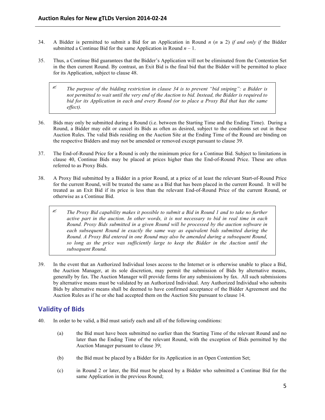- 34. A Bidder is permitted to submit a Bid for an Application in Round *n* ( $n \geq 2$ ) *if and only if* the Bidder submitted a Continue Bid for the same Application in Round  $n - 1$ .
- 35. Thus, a Continue Bid guarantees that the Bidder's Application will not be eliminated from the Contention Set in the then current Round. By contrast, an Exit Bid is the final bid that the Bidder will be permitted to place for its Application, subject to clause 48.
	- ? *The purpose of the bidding restriction in clause 34 is to prevent "bid sniping": a Bidder is not permitted to wait until the very end of the Auction to bid. Instead, the Bidder is required to bid for its Application in each and every Round (or to place a Proxy Bid that has the same effect).*
- 36. Bids may only be submitted during a Round (i.e. between the Starting Time and the Ending Time). During a Round, a Bidder may edit or cancel its Bids as often as desired, subject to the conditions set out in these Auction Rules. The valid Bids residing on the Auction Site at the Ending Time of the Round are binding on the respective Bidders and may not be amended or removed except pursuant to clause 39.
- 37. The End-of-Round Price for a Round is only the minimum price for a Continue Bid. Subject to limitations in clause 40, Continue Bids may be placed at prices higher than the End-of-Round Price. These are often referred to as Proxy Bids.
- 38. A Proxy Bid submitted by a Bidder in a prior Round, at a price of at least the relevant Start-of-Round Price for the current Round, will be treated the same as a Bid that has been placed in the current Round. It will be treated as an Exit Bid if its price is less than the relevant End-of-Round Price of the current Round, or otherwise as a Continue Bid.
	- $\mathscr{F}$  The Proxy Bid capability makes it possible to submit a Bid in Round 1 and to take no further *active part in the auction. In other words, it is not necessary to bid in real time in each Round. Proxy Bids submitted in a given Round will be processed by the auction software in each subsequent Round in exactly the same way as equivalent bids submitted during the Round. A Proxy Bid entered in one Round may also be amended during a subsequent Round, so long as the price was sufficiently large to keep the Bidder in the Auction until the subsequent Round.*
- 39. In the event that an Authorized Individual loses access to the Internet or is otherwise unable to place a Bid, the Auction Manager, at its sole discretion, may permit the submission of Bids by alternative means, generally by fax. The Auction Manager will provide forms for any submissions by fax. All such submissions by alternative means must be validated by an Authorized Individual. Any Authorized Individual who submits Bids by alternative means shall be deemed to have confirmed acceptance of the Bidder Agreement and the Auction Rules as if he or she had accepted them on the Auction Site pursuant to clause 14.

#### **Validity of Bids**

- 40. In order to be valid, a Bid must satisfy each and all of the following conditions:
	- (a) the Bid must have been submitted no earlier than the Starting Time of the relevant Round and no later than the Ending Time of the relevant Round, with the exception of Bids permitted by the Auction Manager pursuant to clause 39;
	- (b) the Bid must be placed by a Bidder for its Application in an Open Contention Set;
	- (c) in Round 2 or later, the Bid must be placed by a Bidder who submitted a Continue Bid for the same Application in the previous Round;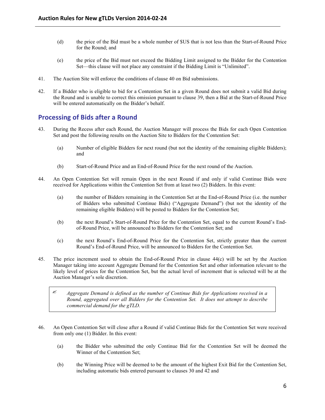- (d) the price of the Bid must be a whole number of \$US that is not less than the Start-of-Round Price for the Round; and
- (e) the price of the Bid must not exceed the Bidding Limit assigned to the Bidder for the Contention Set—this clause will not place any constraint if the Bidding Limit is "Unlimited".
- 41. The Auction Site will enforce the conditions of clause 40 on Bid submissions.
- 42. If a Bidder who is eligible to bid for a Contention Set in a given Round does not submit a valid Bid during the Round and is unable to correct this omission pursuant to clause 39, then a Bid at the Start-of-Round Price will be entered automatically on the Bidder's behalf.

#### **Processing of Bids after a Round**

- 43. During the Recess after each Round, the Auction Manager will process the Bids for each Open Contention Set and post the following results on the Auction Site to Bidders for the Contention Set:
	- (a) Number of eligible Bidders for next round (but not the identity of the remaining eligible Bidders); and
	- (b) Start-of-Round Price and an End-of-Round Price for the next round of the Auction.
- 44. An Open Contention Set will remain Open in the next Round if and only if valid Continue Bids were received for Applications within the Contention Set from at least two (2) Bidders. In this event:
	- (a) the number of Bidders remaining in the Contention Set at the End-of-Round Price (i.e. the number of Bidders who submitted Continue Bids) ("Aggregate Demand") (but not the identity of the remaining eligible Bidders) will be posted to Bidders for the Contention Set;
	- (b) the next Round's Start-of-Round Price for the Contention Set, equal to the current Round's Endof-Round Price, will be announced to Bidders for the Contention Set; and
	- (c) the next Round's End-of-Round Price for the Contention Set, strictly greater than the current Round's End-of-Round Price, will be announced to Bidders for the Contention Set.
- 45. The price increment used to obtain the End-of-Round Price in clause 44(c) will be set by the Auction Manager taking into account Aggregate Demand for the Contention Set and other information relevant to the likely level of prices for the Contention Set, but the actual level of increment that is selected will be at the Auction Manager's sole discretion.

? *Aggregate Demand is defined as the number of Continue Bids for Applications received in a Round, aggregated over all Bidders for the Contention Set. It does not attempt to describe commercial demand for the gTLD.* 

- 46. An Open Contention Set will close after a Round if valid Continue Bids for the Contention Set were received from only one (1) Bidder. In this event:
	- (a) the Bidder who submitted the only Continue Bid for the Contention Set will be deemed the Winner of the Contention Set;
	- (b) the Winning Price will be deemed to be the amount of the highest Exit Bid for the Contention Set, including automatic bids entered pursuant to clauses 30 and 42 and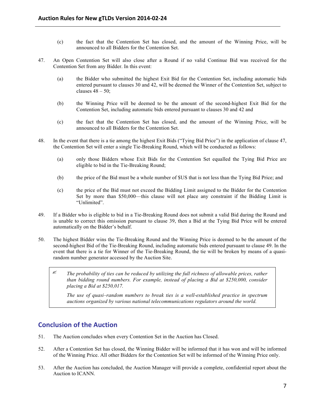- (c) the fact that the Contention Set has closed, and the amount of the Winning Price, will be announced to all Bidders for the Contention Set.
- 47. An Open Contention Set will also close after a Round if no valid Continue Bid was received for the Contention Set from any Bidder. In this event:
	- (a) the Bidder who submitted the highest Exit Bid for the Contention Set, including automatic bids entered pursuant to clauses 30 and 42, will be deemed the Winner of the Contention Set, subject to clauses  $48 - 50$ ;
	- (b) the Winning Price will be deemed to be the amount of the second-highest Exit Bid for the Contention Set, including automatic bids entered pursuant to clauses 30 and 42 and
	- (c) the fact that the Contention Set has closed, and the amount of the Winning Price, will be announced to all Bidders for the Contention Set.
- 48. In the event that there is a tie among the highest Exit Bids ("Tying Bid Price") in the application of clause 47, the Contention Set will enter a single Tie-Breaking Round, which will be conducted as follows:
	- (a) only those Bidders whose Exit Bids for the Contention Set equalled the Tying Bid Price are eligible to bid in the Tie-Breaking Round;
	- (b) the price of the Bid must be a whole number of \$US that is not less than the Tying Bid Price; and
	- (c) the price of the Bid must not exceed the Bidding Limit assigned to the Bidder for the Contention Set by more than \$50,000—this clause will not place any constraint if the Bidding Limit is "Unlimited".
- 49. If a Bidder who is eligible to bid in a Tie-Breaking Round does not submit a valid Bid during the Round and is unable to correct this omission pursuant to clause 39, then a Bid at the Tying Bid Price will be entered automatically on the Bidder's behalf.
- 50. The highest Bidder wins the Tie-Breaking Round and the Winning Price is deemed to be the amount of the second-highest Bid of the Tie-Breaking Round, including automatic bids entered pursuant to clause 49. In the event that there is a tie for Winner of the Tie-Breaking Round, the tie will be broken by means of a quasirandom number generator accessed by the Auction Site.
	- ? *The probability of ties can be reduced by utilizing the full richness of allowable prices, rather than bidding round numbers. For example, instead of placing a Bid at \$250,000, consider placing a Bid at \$250,017.*

*The use of quasi–random numbers to break ties is a well-established practice in spectrum auctions organized by various national telecommunications regulators around the world.*

#### **Conclusion of the Auction**

- 51. The Auction concludes when every Contention Set in the Auction has Closed.
- 52. After a Contention Set has closed, the Winning Bidder will be informed that it has won and will be informed of the Winning Price. All other Bidders for the Contention Set will be informed of the Winning Price only.
- 53. After the Auction has concluded, the Auction Manager will provide a complete, confidential report about the Auction to ICANN.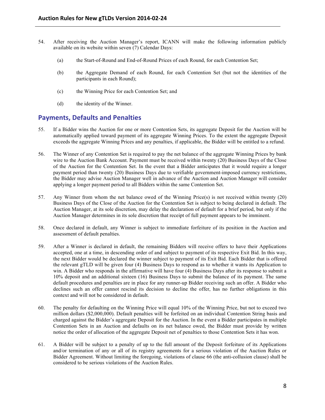- 54. After receiving the Auction Manager's report, ICANN will make the following information publicly available on its website within seven (7) Calendar Days:
	- (a) the Start-of-Round and End-of-Round Prices of each Round, for each Contention Set;
	- (b) the Aggregate Demand of each Round, for each Contention Set (but not the identities of the participants in each Round);
	- (c) the Winning Price for each Contention Set; and
	- (d) the identity of the Winner.

#### **Payments, Defaults and Penalties**

- 55. If a Bidder wins the Auction for one or more Contention Sets, its aggregate Deposit for the Auction will be automatically applied toward payment of its aggregate Winning Prices. To the extent the aggregate Deposit exceeds the aggregate Winning Prices and any penalties, if applicable, the Bidder will be entitled to a refund.
- 56. The Winner of any Contention Set is required to pay the net balance of the aggregate Winning Prices by bank wire to the Auction Bank Account. Payment must be received within twenty (20) Business Days of the Close of the Auction for the Contention Set. In the event that a Bidder anticipates that it would require a longer payment period than twenty (20) Business Days due to verifiable government-imposed currency restrictions, the Bidder may advise Auction Manager well in advance of the Auction and Auction Manager will consider applying a longer payment period to all Bidders within the same Contention Set.
- 57. Any Winner from whom the net balance owed of the Winning Price(s) is not received within twenty (20) Business Days of the Close of the Auction for the Contention Set is subject to being declared in default. The Auction Manager, at its sole discretion, may delay the declaration of default for a brief period, but only if the Auction Manager determines in its sole discretion that receipt of full payment appears to be imminent.
- 58. Once declared in default, any Winner is subject to immediate forfeiture of its position in the Auction and assessment of default penalties.
- 59. After a Winner is declared in default, the remaining Bidders will receive offers to have their Applications accepted, one at a time, in descending order of and subject to payment of its respective Exit Bid. In this way, the next Bidder would be declared the winner subject to payment of its Exit Bid. Each Bidder that is offered the relevant gTLD will be given four (4) Business Days to respond as to whether it wants its Application to win. A Bidder who responds in the affirmative will have four (4) Business Days after its response to submit a 10% deposit and an additional sixteen (16) Business Days to submit the balance of its payment. The same default procedures and penalties are in place for any runner-up Bidder receiving such an offer. A Bidder who declines such an offer cannot rescind its decision to decline the offer, has no further obligations in this context and will not be considered in default.
- 60. The penalty for defaulting on the Winning Price will equal 10% of the Winning Price, but not to exceed two million dollars (\$2,000,000). Default penalties will be forfeited on an individual Contention String basis and charged against the Bidder's aggregate Deposit for the Auction. In the event a Bidder participates in multiple Contention Sets in an Auction and defaults on its net balance owed, the Bidder must provide by written notice the order of allocation of the aggregate Deposit net of penalties to those Contention Sets it has won.
- 61. A Bidder will be subject to a penalty of up to the full amount of the Deposit forfeiture of its Applications and/or termination of any or all of its registry agreements for a serious violation of the Auction Rules or Bidder Agreement. Without limiting the foregoing, violations of clause 66 (the anti-collusion clause) shall be considered to be serious violations of the Auction Rules.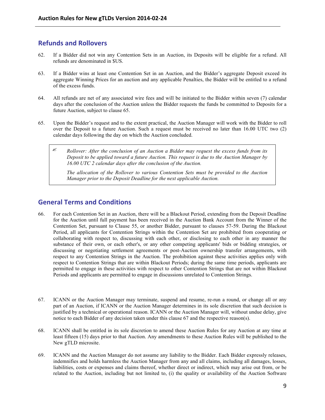#### **Refunds and Rollovers**

- 62. If a Bidder did not win any Contention Sets in an Auction, its Deposits will be eligible for a refund. All refunds are denominated in \$US.
- 63. If a Bidder wins at least one Contention Set in an Auction, and the Bidder's aggregate Deposit exceed its aggregate Winning Prices for an auction and any applicable Penalties, the Bidder will be entitled to a refund of the excess funds.
- 64. All refunds are net of any associated wire fees and will be initiated to the Bidder within seven (7) calendar days after the conclusion of the Auction unless the Bidder requests the funds be committed to Deposits for a future Auction, subject to clause 65.
- 65. Upon the Bidder's request and to the extent practical, the Auction Manager will work with the Bidder to roll over the Deposit to a future Auction. Such a request must be received no later than 16.00 UTC two (2) calendar days following the day on which the Auction concluded.
	- ? *Rollover: After the conclusion of an Auction a Bidder may request the excess funds from its Deposit to be applied toward a future Auction. This request is due to the Auction Manager by 16.00 UTC 2 calendar days after the conclusion of the Auction.*

*The allocation of the Rollover to various Contention Sets must be provided to the Auction Manager prior to the Deposit Deadline for the next applicable Auction.* 

#### **General Terms and Conditions**

- 66. For each Contention Set in an Auction, there will be a Blackout Period, extending from the Deposit Deadline for the Auction until full payment has been received in the Auction Bank Account from the Winner of the Contention Set, pursuant to Clause 55, or another Bidder, pursuant to clauses 57-59. During the Blackout Period, all applicants for Contention Strings within the Contention Set are prohibited from cooperating or collaborating with respect to, discussing with each other, or disclosing to each other in any manner the substance of their own, or each other's, or any other competing applicants' bids or bidding strategies, or discussing or negotiating settlement agreements or post-Auction ownership transfer arrangements, with respect to any Contention Strings in the Auction. The prohibition against these activities applies only with respect to Contention Strings that are within Blackout Periods; during the same time periods, applicants are permitted to engage in these activities with respect to other Contention Strings that are not within Blackout Periods and applicants are permitted to engage in discussions unrelated to Contention Strings.
- 67. ICANN or the Auction Manager may terminate, suspend and resume, re-run a round, or change all or any part of an Auction, if ICANN or the Auction Manager determines in its sole discretion that such decision is justified by a technical or operational reason. ICANN or the Auction Manager will, without undue delay, give notice to each Bidder of any decision taken under this clause 67 and the respective reason(s).
- 68. ICANN shall be entitled in its sole discretion to amend these Auction Rules for any Auction at any time at least fifteen (15) days prior to that Auction. Any amendments to these Auction Rules will be published to the New gTLD microsite.
- 69. ICANN and the Auction Manager do not assume any liability to the Bidder. Each Bidder expressly releases, indemnifies and holds harmless the Auction Manager from any and all claims, including all damages, losses, liabilities, costs or expenses and claims thereof, whether direct or indirect, which may arise out from, or be related to the Auction, including but not limited to, (i) the quality or availability of the Auction Software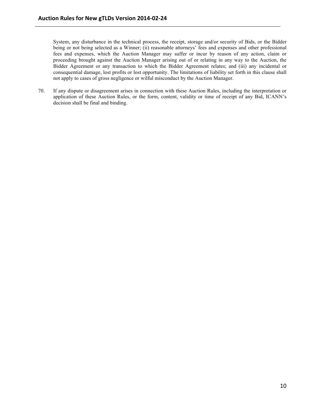System, any disturbance in the technical process, the receipt, storage and/or security of Bids, or the Bidder being or not being selected as a Winner; (ii) reasonable attorneys' fees and expenses and other professional fees and expenses, which the Auction Manager may suffer or incur by reason of any action, claim or proceeding brought against the Auction Manager arising out of or relating in any way to the Auction, the Bidder Agreement or any transaction to which the Bidder Agreement relates; and (iii) any incidental or consequential damage, lost profits or lost opportunity. The limitations of liability set forth in this clause shall not apply to cases of gross negligence or wilful misconduct by the Auction Manager.

70. If any dispute or disagreement arises in connection with these Auction Rules, including the interpretation or application of these Auction Rules, or the form, content, validity or time of receipt of any Bid, ICANN's decision shall be final and binding.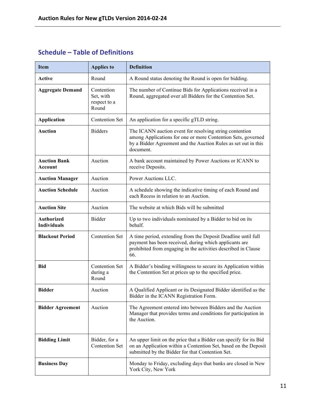#### **Schedule – Table of Definitions**

| <b>Item</b>                             | <b>Applies to</b>                                | <b>Definition</b>                                                                                                                                                                                      |
|-----------------------------------------|--------------------------------------------------|--------------------------------------------------------------------------------------------------------------------------------------------------------------------------------------------------------|
| Active                                  | Round                                            | A Round status denoting the Round is open for bidding.                                                                                                                                                 |
| <b>Aggregate Demand</b>                 | Contention<br>Set, with<br>respect to a<br>Round | The number of Continue Bids for Applications received in a<br>Round, aggregated over all Bidders for the Contention Set.                                                                               |
| <b>Application</b>                      | <b>Contention Set</b>                            | An application for a specific gTLD string.                                                                                                                                                             |
| <b>Auction</b>                          | <b>Bidders</b>                                   | The ICANN auction event for resolving string contention<br>among Applications for one or more Contention Sets, governed<br>by a Bidder Agreement and the Auction Rules as set out in this<br>document. |
| <b>Auction Bank</b><br><b>Account</b>   | Auction                                          | A bank account maintained by Power Auctions or ICANN to<br>receive Deposits.                                                                                                                           |
| <b>Auction Manager</b>                  | Auction                                          | Power Auctions LLC.                                                                                                                                                                                    |
| <b>Auction Schedule</b>                 | Auction                                          | A schedule showing the indicative timing of each Round and<br>each Recess in relation to an Auction.                                                                                                   |
| <b>Auction Site</b>                     | Auction                                          | The website at which Bids will be submitted                                                                                                                                                            |
| <b>Authorized</b><br><b>Individuals</b> | Bidder                                           | Up to two individuals nominated by a Bidder to bid on its<br>behalf.                                                                                                                                   |
| <b>Blackout Period</b>                  | <b>Contention Set</b>                            | A time period, extending from the Deposit Deadline until full<br>payment has been received, during which applicants are<br>prohibited from engaging in the activities described in Clause<br>66.       |
| <b>Bid</b>                              | <b>Contention Set</b><br>during a<br>Round       | A Bidder's binding willingness to secure its Application within<br>the Contention Set at prices up to the specified price.                                                                             |
| <b>Bidder</b>                           | Auction                                          | A Qualified Applicant or its Designated Bidder identified as the<br>Bidder in the ICANN Registration Form.                                                                                             |
| <b>Bidder Agreement</b>                 | Auction                                          | The Agreement entered into between Bidders and the Auction<br>Manager that provides terms and conditions for participation in<br>the Auction.                                                          |
| <b>Bidding Limit</b>                    | Bidder, for a<br><b>Contention Set</b>           | An upper limit on the price that a Bidder can specify for its Bid<br>on an Application within a Contention Set, based on the Deposit<br>submitted by the Bidder for that Contention Set.               |
| <b>Business Day</b>                     |                                                  | Monday to Friday, excluding days that banks are closed in New<br>York City, New York                                                                                                                   |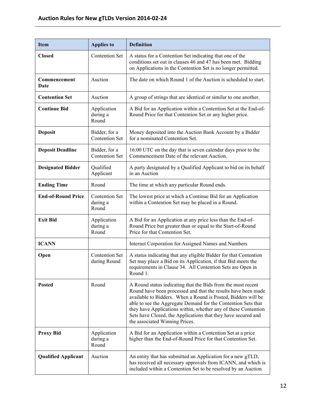| <b>Item</b>                | <b>Applies to</b>                          | <b>Definition</b>                                                                                                                                                                                                                                                                                                                                                                                                                    |
|----------------------------|--------------------------------------------|--------------------------------------------------------------------------------------------------------------------------------------------------------------------------------------------------------------------------------------------------------------------------------------------------------------------------------------------------------------------------------------------------------------------------------------|
| <b>Closed</b>              | <b>Contention Set</b>                      | A status for a Contention Set indicating that one of the<br>conditions set out in clauses 46 and 47 has been met. Bidding<br>on Applications in the Contention Set is no longer permitted.                                                                                                                                                                                                                                           |
| Commencement<br>Date       | Auction                                    | The date on which Round 1 of the Auction is scheduled to start.                                                                                                                                                                                                                                                                                                                                                                      |
| <b>Contention Set</b>      | Auction                                    | A group of strings that are identical or similar to one another.                                                                                                                                                                                                                                                                                                                                                                     |
| <b>Continue Bid</b>        | Application<br>during a<br>Round           | A Bid for an Application within a Contention Set at the End-of-<br>Round Price for that Contention Set or any higher price.                                                                                                                                                                                                                                                                                                          |
| <b>Deposit</b>             | Bidder, for a<br><b>Contention Set</b>     | Money deposited into the Auction Bank Account by a Bidder<br>for a nominated Contention Set.                                                                                                                                                                                                                                                                                                                                         |
| <b>Deposit Deadline</b>    | Bidder, for a<br><b>Contention Set</b>     | 16:00 UTC on the day that is seven calendar days prior to the<br>Commencement Date of the relevant Auction.                                                                                                                                                                                                                                                                                                                          |
| <b>Designated Bidder</b>   | Qualified<br>Applicant                     | A party designated by a Qualified Applicant to bid on its behalf<br>in an Auction                                                                                                                                                                                                                                                                                                                                                    |
| <b>Ending Time</b>         | Round                                      | The time at which any particular Round ends.                                                                                                                                                                                                                                                                                                                                                                                         |
| <b>End-of-Round Price</b>  | <b>Contention Set</b><br>during a<br>Round | The lowest price at which a Continue Bid for an Application<br>within a Contention Set may be placed in a Round.                                                                                                                                                                                                                                                                                                                     |
| <b>Exit Bid</b>            | Application<br>during a<br>Round           | A Bid for an Application at any price less than the End-of-<br>Round Price but greater than or equal to the Start-of-Round<br>Price for that Contention Set.                                                                                                                                                                                                                                                                         |
| <b>ICANN</b>               |                                            | Internet Corporation for Assigned Names and Numbers                                                                                                                                                                                                                                                                                                                                                                                  |
| Open                       | <b>Contention Set</b><br>during Round      | A status indicating that any eligible Bidder for that Contention<br>Set may place a Bid on its Application, if that Bid meets the<br>requirements in Clause 34. All Contention Sets are Open in<br>Round 1.                                                                                                                                                                                                                          |
| <b>Posted</b>              | Round                                      | A Round status indicating that the Bids from the most recent<br>Round have been processed and that the results have been made<br>available to Bidders. When a Round is Posted, Bidders will be<br>able to see the Aggregate Demand for the Contention Sets that<br>they have Applications within, whether any of these Contention<br>Sets have Closed, the Applications that they have secured and<br>the associated Winning Prices. |
| <b>Proxy Bid</b>           | Application<br>during a<br>Round           | A Bid for an Application within a Contention Set at a price<br>higher than the End-of-Round Price for that Contention Set.                                                                                                                                                                                                                                                                                                           |
| <b>Qualified Applicant</b> | Auction                                    | An entity that has submitted an Application for a new gTLD,<br>has received all necessary approvals from ICANN, and which is<br>included within a Contention Set to be resolved by an Auction                                                                                                                                                                                                                                        |